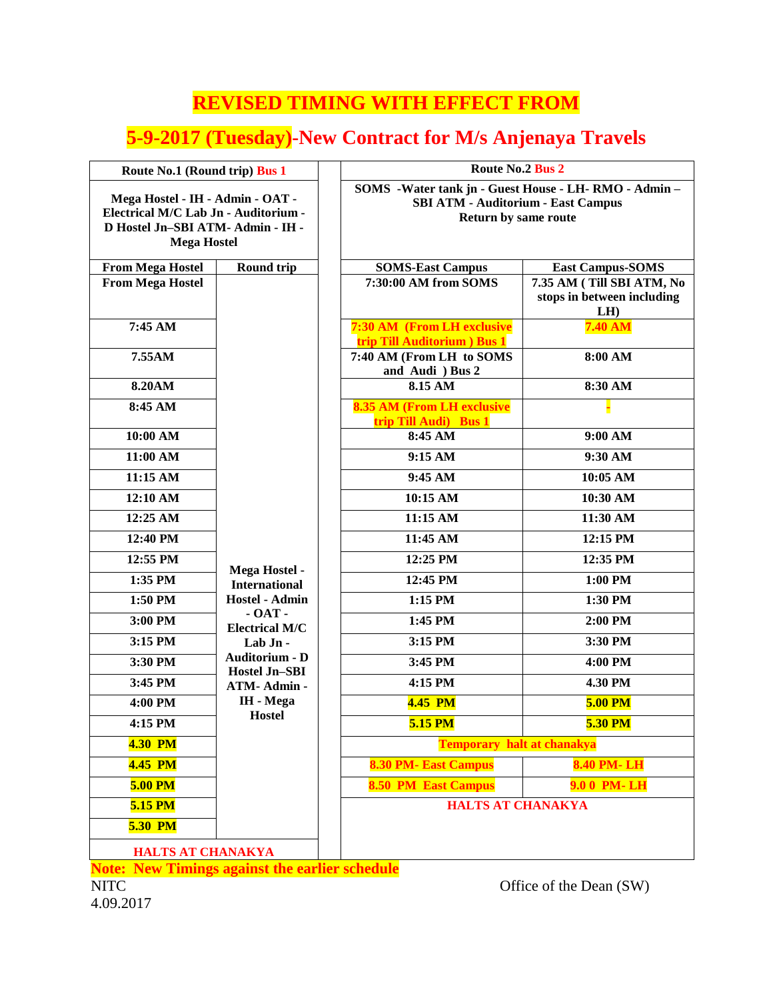## **REVISED TIMING WITH EFFECT FROM**

## **5-9-2017 (Tuesday)-New Contract for M/s Anjenaya Travels**

| Route No.1 (Round trip) Bus 1                                                                                                       |                                                  | Route No.2 Bus 2                                                                                                          |                                                               |
|-------------------------------------------------------------------------------------------------------------------------------------|--------------------------------------------------|---------------------------------------------------------------------------------------------------------------------------|---------------------------------------------------------------|
| Mega Hostel - IH - Admin - OAT -<br>Electrical M/C Lab Jn - Auditorium -<br>D Hostel Jn-SBI ATM- Admin - IH -<br><b>Mega Hostel</b> |                                                  | SOMS -Water tank jn - Guest House - LH-RMO - Admin -<br><b>SBI ATM - Auditorium - East Campus</b><br>Return by same route |                                                               |
| <b>From Mega Hostel</b>                                                                                                             | <b>Round trip</b>                                | <b>SOMS-East Campus</b>                                                                                                   | <b>East Campus-SOMS</b>                                       |
| <b>From Mega Hostel</b>                                                                                                             | Mega Hostel -<br><b>International</b>            | 7:30:00 AM from SOMS                                                                                                      | 7.35 AM (Till SBI ATM, No<br>stops in between including<br>LH |
| 7:45 AM                                                                                                                             |                                                  | 7:30 AM (From LH exclusive<br>trip Till Auditorium ) Bus 1                                                                | <b>7.40 AM</b>                                                |
| 7.55AM                                                                                                                              |                                                  | 7:40 AM (From LH to SOMS<br>and Audi ) Bus 2                                                                              | 8:00 AM                                                       |
| <b>8.20AM</b>                                                                                                                       |                                                  | 8.15 AM                                                                                                                   | 8:30 AM                                                       |
| 8:45 AM                                                                                                                             |                                                  | <b>8.35 AM (From LH exclusive</b><br>trip Till Audi) Bus 1                                                                |                                                               |
| 10:00 AM                                                                                                                            |                                                  | 8:45 AM                                                                                                                   | 9:00 AM                                                       |
| 11:00 AM                                                                                                                            |                                                  | 9:15 AM                                                                                                                   | 9:30 AM                                                       |
| 11:15 AM                                                                                                                            |                                                  | 9:45 AM                                                                                                                   | 10:05 AM                                                      |
| 12:10 AM                                                                                                                            |                                                  | 10:15 AM                                                                                                                  | 10:30 AM                                                      |
| 12:25 AM                                                                                                                            |                                                  | 11:15 AM                                                                                                                  | 11:30 AM                                                      |
| 12:40 PM                                                                                                                            |                                                  | 11:45 AM                                                                                                                  | 12:15 PM                                                      |
| 12:55 PM                                                                                                                            |                                                  | 12:25 PM                                                                                                                  | 12:35 PM                                                      |
| 1:35 PM                                                                                                                             |                                                  | 12:45 PM                                                                                                                  | 1:00 PM                                                       |
| 1:50 PM                                                                                                                             | <b>Hostel - Admin</b>                            | 1:15 PM                                                                                                                   | 1:30 PM                                                       |
| 3:00 PM                                                                                                                             | $-$ OAT $-$<br><b>Electrical M/C</b><br>Lab Jn - | 1:45 PM                                                                                                                   | 2:00 PM                                                       |
| 3:15 PM                                                                                                                             |                                                  | 3:15 PM                                                                                                                   | 3:30 PM                                                       |
| 3:30 PM                                                                                                                             | <b>Auditorium - D</b><br><b>Hostel Jn-SBI</b>    | 3:45 PM                                                                                                                   | 4:00 PM                                                       |
| 3:45 PM                                                                                                                             | ATM-Admin-                                       | 4:15 PM                                                                                                                   | 4.30 PM                                                       |
| 4:00 PM                                                                                                                             | IH - Mega<br><b>Hostel</b>                       | <b>4.45 PM</b>                                                                                                            | <b>5.00 PM</b>                                                |
| 4:15 PM                                                                                                                             |                                                  | 5.15 PM                                                                                                                   | 5.30 PM                                                       |
| <b>4.30 PM</b>                                                                                                                      |                                                  | <b>Temporary halt at chanakya</b>                                                                                         |                                                               |
| <b>4.45 PM</b>                                                                                                                      |                                                  | <b>8.30 PM- East Campus</b>                                                                                               | <b>8.40 PM-LH</b>                                             |
| 5.00 PM                                                                                                                             |                                                  | <b>8.50 PM East Campus</b>                                                                                                | 9.0 0 PM-LH                                                   |
| 5.15 PM                                                                                                                             |                                                  | <b>HALTS AT CHANAKYA</b>                                                                                                  |                                                               |
| <b>5.30 PM</b>                                                                                                                      |                                                  |                                                                                                                           |                                                               |
| <b>HALTS AT CHANAKYA</b><br>Now Timings against the carlier schodule                                                                |                                                  |                                                                                                                           |                                                               |

**Note: New Timings against the earlier schedule**

4.09.2017

NITC Office of the Dean (SW)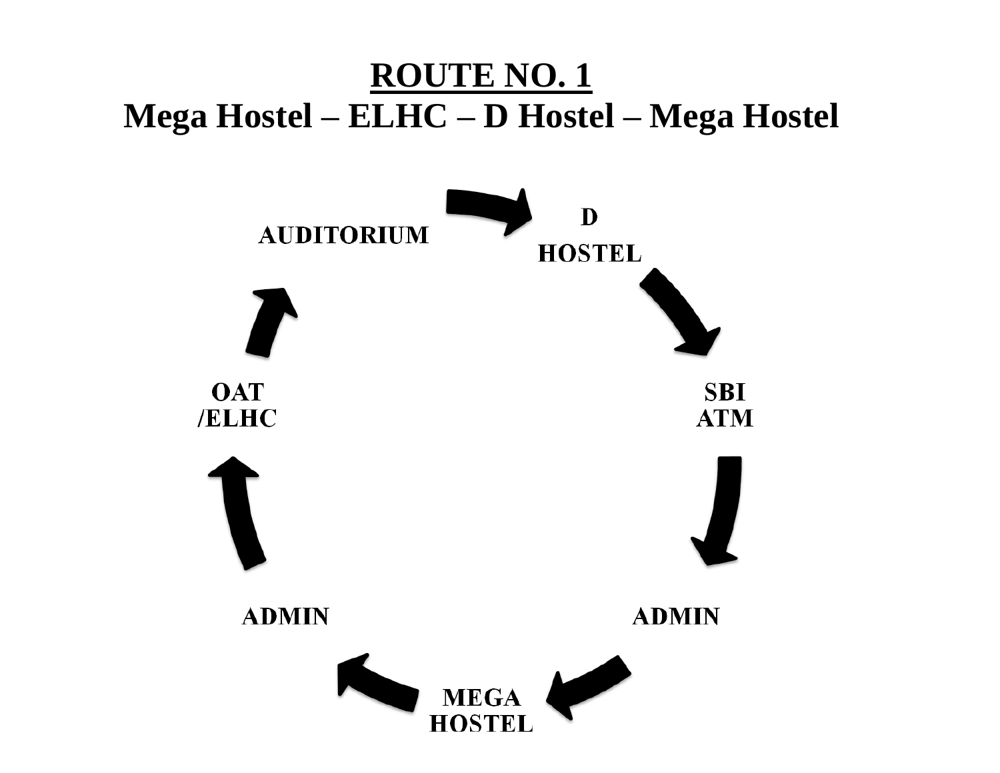## **ROUTE NO. 1 Mega Hostel – ELHC – D Hostel – Mega Hostel**